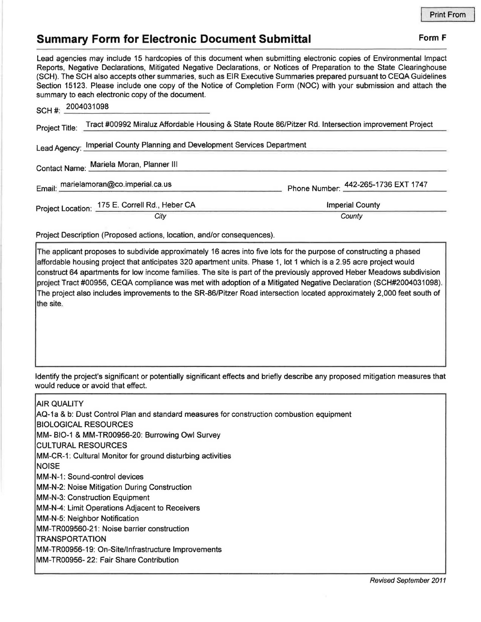## **Summary Form for Electronic Document Submittal Form F Form F**

Lead agencies may include 15 hardcopies of this document when submitting electronic copies of Environmental Impact Reports, Negative Declarations, Mitigated Negative Declarations, or Notices of Preparation to the State Clearinghouse (SCH). The SCH also accepts other summaries, such as EIR Executive Summaries prepared pursuant to CEQA Guidelines Section 15123. Please include one copy of the Notice of Completion Form (NOC) with your submission and attach the summary to each electronic copy of the document.

| SCH#:                                                                                                                  | 2004031098                                     |                                     |
|------------------------------------------------------------------------------------------------------------------------|------------------------------------------------|-------------------------------------|
| Tract #00992 Miraluz Affordable Housing & State Route 86/Pitzer Rd. Intersection improvement Project<br>Project Title: |                                                |                                     |
| Lead Agency: Imperial County Planning and Development Services Department                                              |                                                |                                     |
| Contact Name: Mariela Moran, Planner III                                                                               |                                                |                                     |
|                                                                                                                        | Email: marielamoran@co.imperial.ca.us          | Phone Number: 442-265-1736 EXT 1747 |
|                                                                                                                        | Project Location: 175 E. Correll Rd., Heber CA | <b>Imperial County</b>              |
|                                                                                                                        | City                                           | County                              |

Project Description (Proposed actions, location, and/or consequences).

The applicant proposes to subdivide approximately 16 acres into five lots for the purpose of constructing a phased affordable housing project that anticipates 320 apartment units. Phase 1, lot 1 which is a 2.95 acre project would construct 64 apartments for low income families. The site is part of the previously approved Heber Meadows subdivision project Tract #00956, CEQA compliance was met with adoption of a Mitigated Negative Declaration (SCH#2004031098). The project also includes improvements to the SR-86/Pitzer Road intersection located approximately 2,000 feet south of the site.

Identify the project's significant or potentially significant effects and briefly describe any proposed mitigation measures that would reduce or avoid that effect.

AIR QUALITY AQ-1a & b: Dust Control Plan and standard measures for construction combustion equipment BIOLOGICAL RESOURCES MM- BIO-1 & MM-TR00956-20: Burrowing Owl Survey CULTURAL RESOURCES MM-CR-1: Cultural Monitor for ground disturbing activities NOISE MM-N-1: Sound-control devices MM-N-2: Noise Mitigation During Construction MM-N-3: Construction Equipment MM-N-4: Limit Operations Adjacent to Receivers MM-N-5: Neighbor Notification MM-TR009560-21: Noise barrier construction **TRANSPORTATION**  MM-TR00956-19: On-Site/Infrastructure Improvements MM-TR00956- 22: Fair Share Contribution